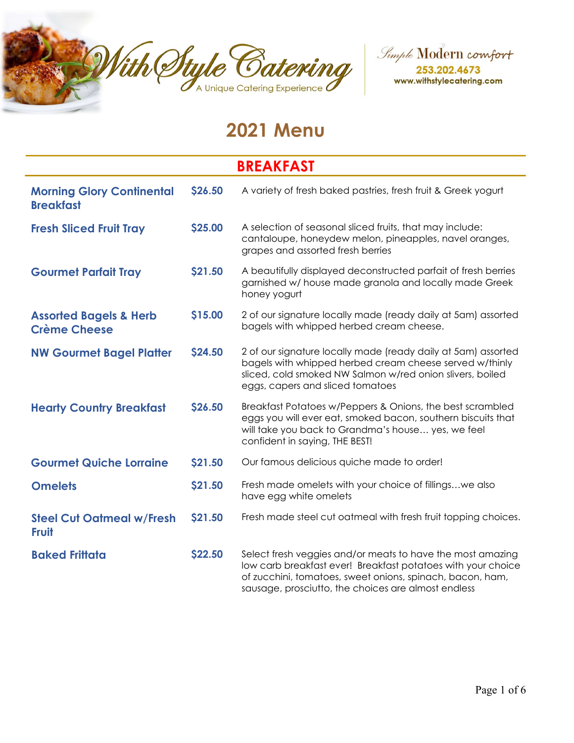



# 2021 Menu

#### BREAKFAST Morning Glory Continental **Breakfast** \$26.50 A variety of fresh baked pastries, fresh fruit & Greek yogurt **Fresh Sliced Fruit Tray 525.00** A selection of seasonal sliced fruits, that may include: cantaloupe, honeydew melon, pineapples, navel oranges, grapes and assorted fresh berries Gourmet Parfait Tray \$21.50 A beautifully displayed deconstructed parfait of fresh berries garnished w/ house made granola and locally made Greek honey yogurt Assorted Bagels & Herb Crème Cheese \$15.00 2 of our signature locally made (ready daily at 5am) assorted bagels with whipped herbed cream cheese. NW Gourmet Bagel Platter \$24.50 2 of our signature locally made (ready daily at 5am) assorted bagels with whipped herbed cream cheese served w/thinly sliced, cold smoked NW Salmon w/red onion slivers, boiled eggs, capers and sliced tomatoes Hearty Country Breakfast \$26.50 Breakfast Potatoes w/Peppers & Onions, the best scrambled eggs you will ever eat, smoked bacon, southern biscuits that will take you back to Grandma's house… yes, we feel confident in saying, THE BEST! Gourmet Quiche Lorraine \$21.50 Our famous delicious quiche made to order! **Omelets 521.50** Fresh made omelets with your choice of fillings...we also have egg white omelets Steel Cut Oatmeal w/Fresh Fruit **\$21.50** Fresh made steel cut oatmeal with fresh fruit topping choices. **Baked Frittata \$22.50** Select fresh veggies and/or meats to have the most amazing low carb breakfast ever! Breakfast potatoes with your choice of zucchini, tomatoes, sweet onions, spinach, bacon, ham,

sausage, prosciutto, the choices are almost endless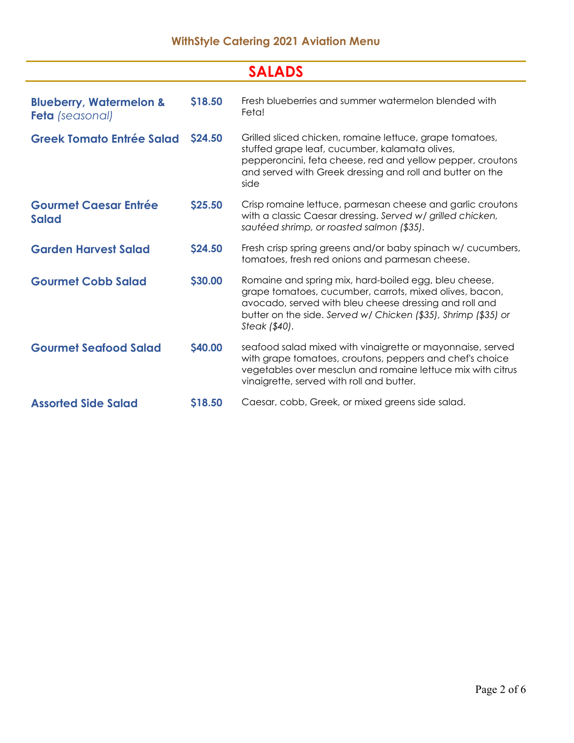#### WithStyle Catering 2021 Aviation Menu

| <b>SALADS</b>                                                |                |                                                                                                                                                                                                                                                               |  |  |
|--------------------------------------------------------------|----------------|---------------------------------------------------------------------------------------------------------------------------------------------------------------------------------------------------------------------------------------------------------------|--|--|
| <b>Blueberry, Watermelon &amp;</b><br><b>Feta</b> (seasonal) | \$18.50        | Fresh blueberries and summer watermelon blended with<br>Feta!                                                                                                                                                                                                 |  |  |
| <b>Greek Tomato Entrée Salad</b>                             | <b>\$24.50</b> | Grilled sliced chicken, romaine lettuce, grape tomatoes,<br>stuffed grape leaf, cucumber, kalamata olives,<br>pepperoncini, feta cheese, red and yellow pepper, croutons<br>and served with Greek dressing and roll and butter on the<br>side                 |  |  |
| <b>Gourmet Caesar Entrée</b><br><b>Salad</b>                 | \$25.50        | Crisp romaine lettuce, parmesan cheese and garlic croutons<br>with a classic Caesar dressing. Served w/ grilled chicken,<br>sautéed shrimp, or roasted salmon (\$35).                                                                                         |  |  |
| <b>Garden Harvest Salad</b>                                  | \$24.50        | Fresh crisp spring greens and/or baby spinach w/ cucumbers,<br>tomatoes, fresh red onions and parmesan cheese.                                                                                                                                                |  |  |
| <b>Gourmet Cobb Salad</b>                                    | \$30.00        | Romaine and spring mix, hard-boiled egg, bleu cheese,<br>grape tomatoes, cucumber, carrots, mixed olives, bacon,<br>avocado, served with bleu cheese dressing and roll and<br>butter on the side. Served w/ Chicken (\$35), Shrimp (\$35) or<br>Steak (\$40). |  |  |
| <b>Gourmet Seafood Salad</b>                                 | \$40.00        | seafood salad mixed with vinaigrette or mayonnaise, served<br>with grape tomatoes, croutons, peppers and chef's choice<br>vegetables over mesclun and romaine lettuce mix with citrus<br>vinaigrette, served with roll and butter.                            |  |  |
| <b>Assorted Side Salad</b>                                   | <b>S18.50</b>  | Caesar, cobb, Greek, or mixed greens side salad.                                                                                                                                                                                                              |  |  |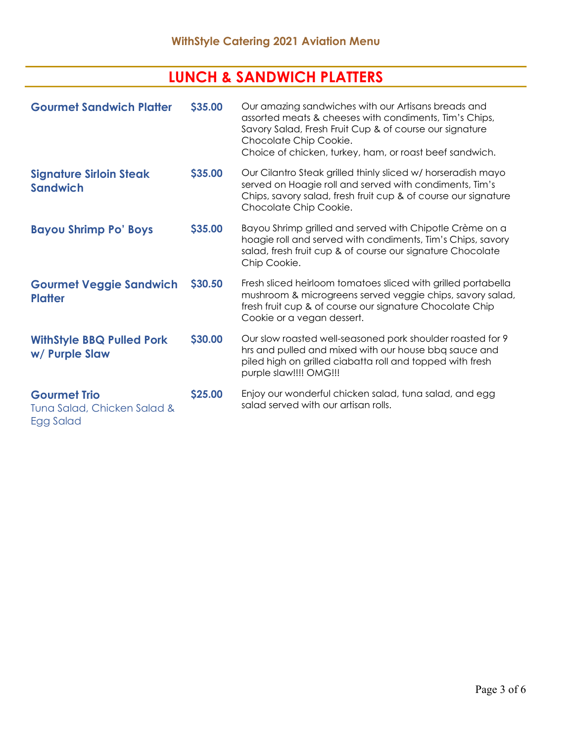# LUNCH & SANDWICH PLATTERS

| <b>Gourmet Sandwich Platter</b>                                 | \$35.00 | Our amazing sandwiches with our Artisans breads and<br>assorted meats & cheeses with condiments, Tim's Chips,<br>Savory Salad, Fresh Fruit Cup & of course our signature<br>Chocolate Chip Cookie.<br>Choice of chicken, turkey, ham, or roast beef sandwich. |
|-----------------------------------------------------------------|---------|---------------------------------------------------------------------------------------------------------------------------------------------------------------------------------------------------------------------------------------------------------------|
| <b>Signature Sirloin Steak</b><br><b>Sandwich</b>               | \$35.00 | Our Cilantro Steak grilled thinly sliced w/ horseradish mayo<br>served on Hoagie roll and served with condiments, Tim's<br>Chips, savory salad, fresh fruit cup & of course our signature<br>Chocolate Chip Cookie.                                           |
| <b>Bayou Shrimp Po' Boys</b>                                    | \$35.00 | Bayou Shrimp grilled and served with Chipotle Crème on a<br>hoagie roll and served with condiments, Tim's Chips, savory<br>salad, fresh fruit cup & of course our signature Chocolate<br>Chip Cookie.                                                         |
| <b>Gourmet Veggie Sandwich</b><br><b>Platter</b>                | \$30.50 | Fresh sliced heirloom tomatoes sliced with grilled portabella<br>mushroom & microgreens served veggie chips, savory salad,<br>fresh fruit cup & of course our signature Chocolate Chip<br>Cookie or a vegan dessert.                                          |
| <b>WithStyle BBQ Pulled Pork</b><br>w/ Purple Slaw              | \$30.00 | Our slow roasted well-seasoned pork shoulder roasted for 9<br>hrs and pulled and mixed with our house bbq sauce and<br>piled high on grilled ciabatta roll and topped with fresh<br>purple slaw!!!! OMG!!!                                                    |
| <b>Gourmet Trio</b><br>Tuna Salad, Chicken Salad &<br>Egg Salad | \$25.00 | Enjoy our wonderful chicken salad, tuna salad, and egg<br>salad served with our artisan rolls.                                                                                                                                                                |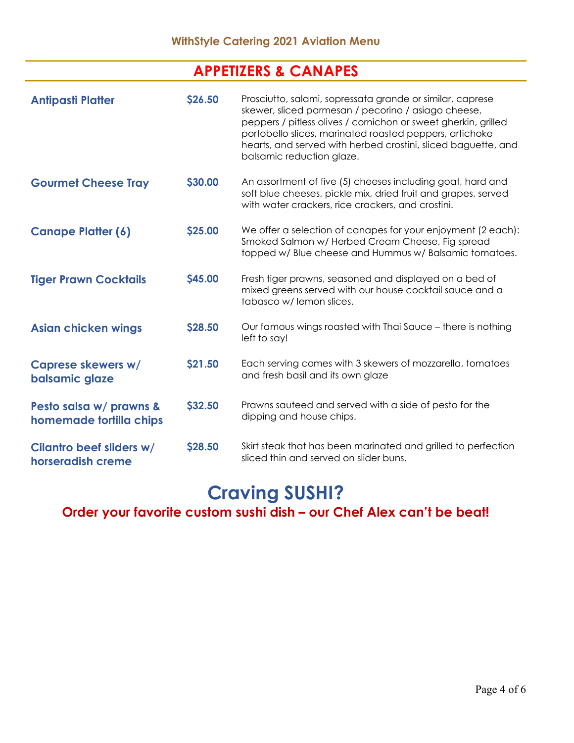## APPETIZERS & CANAPES

| <b>Antipasti Platter</b>                           | <b>\$26.50</b> | Prosciutto, salami, sopressata grande or similar, caprese<br>skewer, sliced parmesan / pecorino / asiago cheese,<br>peppers / pitless olives / cornichon or sweet gherkin, grilled<br>portobello slices, marinated roasted peppers, artichoke<br>hearts, and served with herbed crostini, sliced baguette, and<br>balsamic reduction glaze. |
|----------------------------------------------------|----------------|---------------------------------------------------------------------------------------------------------------------------------------------------------------------------------------------------------------------------------------------------------------------------------------------------------------------------------------------|
| <b>Gourmet Cheese Tray</b>                         | \$30.00        | An assortment of five (5) cheeses including goat, hard and<br>soft blue cheeses, pickle mix, dried fruit and grapes, served<br>with water crackers, rice crackers, and crostini.                                                                                                                                                            |
| <b>Canape Platter (6)</b>                          | \$25.00        | We offer a selection of canapes for your enjoyment (2 each):<br>Smoked Salmon w/ Herbed Cream Cheese, Fig spread<br>topped w/ Blue cheese and Hummus w/ Balsamic tomatoes.                                                                                                                                                                  |
| <b>Tiger Prawn Cocktails</b>                       | \$45.00        | Fresh tiger prawns, seasoned and displayed on a bed of<br>mixed greens served with our house cocktail sauce and a<br>tabasco w/lemon slices.                                                                                                                                                                                                |
| <b>Asian chicken wings</b>                         | \$28.50        | Our famous wings roasted with Thai Sauce - there is nothing<br>left to say!                                                                                                                                                                                                                                                                 |
| Caprese skewers w/<br>balsamic glaze               | \$21.50        | Each serving comes with 3 skewers of mozzarella, tomatoes<br>and fresh basil and its own glaze                                                                                                                                                                                                                                              |
| Pesto salsa w/ prawns &<br>homemade tortilla chips | \$32.50        | Prawns sauteed and served with a side of pesto for the<br>dipping and house chips.                                                                                                                                                                                                                                                          |
| Cilantro beef sliders w/<br>horseradish creme      | <b>\$28.50</b> | Skirt steak that has been marinated and grilled to perfection<br>sliced thin and served on slider buns.                                                                                                                                                                                                                                     |

# Craving SUSHI?

### Order your favorite custom sushi dish – our Chef Alex can't be beat!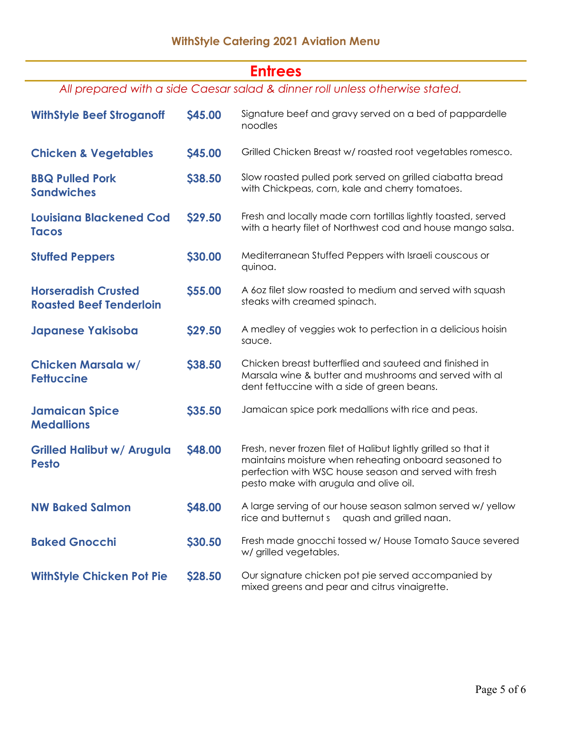### **Entrees**

All prepared with a side Caesar salad & dinner roll unless otherwise stated.

| <b>WithStyle Beef Stroganoff</b>                             | <b>\$45.00</b> | Signature beef and gravy served on a bed of pappardelle<br>noodles                                                                                                                                                           |  |
|--------------------------------------------------------------|----------------|------------------------------------------------------------------------------------------------------------------------------------------------------------------------------------------------------------------------------|--|
| <b>Chicken &amp; Vegetables</b>                              | <b>\$45.00</b> | Grilled Chicken Breast w/ roasted root vegetables romesco.                                                                                                                                                                   |  |
| <b>BBQ Pulled Pork</b><br><b>Sandwiches</b>                  | \$38.50        | Slow roasted pulled pork served on grilled ciabatta bread<br>with Chickpeas, corn, kale and cherry tomatoes.                                                                                                                 |  |
| <b>Louisiana Blackened Cod</b><br><b>Tacos</b>               | \$29.50        | Fresh and locally made corn tortillas lightly toasted, served<br>with a hearty filet of Northwest cod and house mango salsa.                                                                                                 |  |
| <b>Stuffed Peppers</b>                                       | \$30.00        | Mediterranean Stuffed Peppers with Israeli couscous or<br>quinoa.                                                                                                                                                            |  |
| <b>Horseradish Crusted</b><br><b>Roasted Beef Tenderloin</b> | \$55.00        | A 60z filet slow roasted to medium and served with squash<br>steaks with creamed spinach.                                                                                                                                    |  |
| <b>Japanese Yakisoba</b>                                     | \$29.50        | A medley of veggies wok to perfection in a delicious hoisin<br>sauce.                                                                                                                                                        |  |
| <b>Chicken Marsala w/</b><br><b>Fettuccine</b>               | \$38.50        | Chicken breast butterflied and sauteed and finished in<br>Marsala wine & butter and mushrooms and served with al<br>dent fettuccine with a side of green beans.                                                              |  |
| <b>Jamaican Spice</b><br><b>Medallions</b>                   | <b>\$35.50</b> | Jamaican spice pork medallions with rice and peas.                                                                                                                                                                           |  |
| <b>Grilled Halibut w/ Arugula</b><br><b>Pesto</b>            | <b>S48.00</b>  | Fresh, never frozen filet of Halibut lightly grilled so that it<br>maintains moisture when reheating onboard seasoned to<br>perfection with WSC house season and served with fresh<br>pesto make with arugula and olive oil. |  |
| <b>NW Baked Salmon</b>                                       | \$48.00        | A large serving of our house season salmon served w/ yellow<br>rice and butternut s<br>quash and grilled naan.                                                                                                               |  |
| <b>Baked Gnocchi</b>                                         | \$30.50        | Fresh made gnocchi tossed w/ House Tomato Sauce severed<br>w/ grilled vegetables.                                                                                                                                            |  |
| <b>WithStyle Chicken Pot Pie</b>                             | \$28.50        | Our signature chicken pot pie served accompanied by<br>mixed greens and pear and citrus vinaigrette.                                                                                                                         |  |